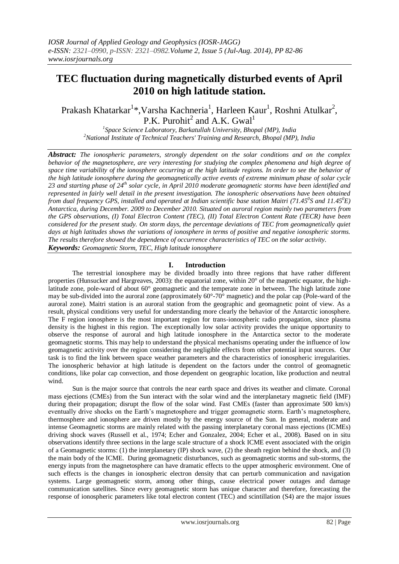# **TEC fluctuation during magnetically disturbed events of April 2010 on high latitude station.**

Prakash Khatarkar<sup>1</sup>\*,Varsha Kachneria<sup>1</sup>, Harleen Kaur<sup>1</sup>, Roshni Atulkar<sup>2</sup>, P.K. Purohit<sup>2</sup> and A.K. Gwal<sup>1</sup>

*1 Space Science Laboratory, Barkatullah University, Bhopal (MP), India <sup>2</sup>National Institute of Technical Teachers' Training and Research, Bhopal (MP), India*

*Abstract: The ionospheric parameters, strongly dependent on the solar conditions and on the complex behavior of the magnetosphere, are very interesting for studying the complex phenomena and high degree of space time variability of the ionosphere occurring at the high latitude regions. In order to see the behavior of the high latitude ionosphere during the geomagnetically active events of extreme minimum phase of solar cycle 23 and starting phase of 24th solar cycle, in April 2010 moderate geomagnetic storms have been identified and represented in fairly well detail in the present investigation. The ionospheric observations have been obtained from dual frequency GPS, installed and operated at Indian scientific base station Maitri (71.45<sup>o</sup>S and 11.45<sup>o</sup>E) Antarctica, during December. 2009 to December 2010. Situated on auroral region mainly two parameters from the GPS observations, (I) Total Electron Content (TEC), (II) Total Electron Content Rate (TECR) have been considered for the present study. On storm days, the percentage deviations of TEC from geomagnetically quiet days at high latitudes shows the variations of ionosphere in terms of positive and negative ionospheric storms. The results therefore showed the dependence of occurrence characteristics of TEC on the solar activity. Keywords: Geomagnetic Storm, TEC, High latitude ionosphere*

# **I. Introduction**

The terrestrial ionosphere may be divided broadly into three regions that have rather different properties (Hunsucker and Hargreaves, 2003): the equatorial zone, within 20° of the magnetic equator, the highlatitude zone, pole-ward of about 60° geomagnetic and the temperate zone in between. The high latitude zone may be sub-divided into the auroral zone (approximately 60°-70° magnetic) and the polar cap (Pole-ward of the auroral zone). Maitri station is an auroral station from the geographic and geomagnetic point of view. As a result, physical conditions very useful for understanding more clearly the behavior of the Antarctic ionosphere. The F region ionosphere is the most important region for trans-ionospheric radio propagation, since plasma density is the highest in this region. The exceptionally low solar activity provides the unique opportunity to observe the response of auroral and high latitude ionosphere in the Antarctica sector to the moderate geomagnetic storms. This may help to understand the physical mechanisms operating under the influence of low geomagnetic activity over the region considering the negligible effects from other potential input sources. Our task is to find the link between space weather parameters and the characteristics of ionospheric irregularities. The ionospheric behavior at high latitude is dependent on the factors under the control of geomagnetic conditions, like polar cap convection, and those dependent on geographic location, like production and neutral wind.

Sun is the major source that controls the near earth space and drives its weather and climate. Coronal mass ejections (CMEs) from the Sun interact with the solar wind and the interplanetary magnetic field (IMF) during their propagation; disrupt the flow of the solar wind. Fast CMEs (faster than approximate 500 km/s) eventually drive shocks on the Earth's magnetosphere and trigger geomagnetic storm. Earth's magnetosphere, thermosphere and ionosphere are driven mostly by the energy source of the Sun. In general, moderate and intense Geomagnetic storms are mainly related with the passing interplanetary coronal mass ejections (ICMEs) driving shock waves (Russell et al., 1974; Echer and Gonzalez, 2004; Echer et al., 2008). Based on in situ observations identify three sections in the large scale structure of a shock ICME event associated with the origin of a Geomagnetic storms: (1) the interplanetary (IP) shock wave, (2) the sheath region behind the shock, and (3) the main body of the ICME. During geomagnetic disturbances, such as geomagnetic storms and sub-storms, the energy inputs from the magnetosphere can have dramatic effects to the upper atmospheric environment. One of such effects is the changes in ionospheric electron density that can perturb communication and navigation systems. Large geomagnetic storm, among other things, cause electrical power outages and damage communication satellites. Since every geomagnetic storm has unique character and therefore, forecasting the response of ionospheric parameters like total electron content (TEC) and scintillation (S4) are the major issues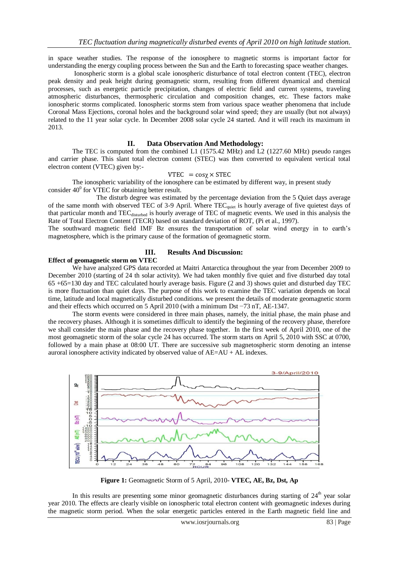in space weather studies. The response of the ionosphere to magnetic storms is important factor for understanding the energy coupling process between the Sun and the Earth to forecasting space weather changes.

Ionospheric storm is a global scale ionospheric disturbance of total electron content (TEC), electron peak density and peak height during geomagnetic storm, resulting from different dynamical and chemical processes, such as energetic particle precipitation, changes of electric field and current systems, traveling atmospheric disturbances, thermospheric circulation and composition changes, etc. These factors make ionospheric storms complicated. Ionospheric storms stem from various space weather phenomena that include Coronal Mass Ejections, coronal holes and the background solar wind speed; they are usually (but not always) related to the 11 year solar cycle. In December 2008 solar cycle 24 started. And it will reach its maximum in 2013.

## **II. Data Observation And Methodology:**

The TEC is computed from the combined L1 (1575.42 MHz) and L2 (1227.60 MHz) pseudo ranges and carrier phase. This slant total electron content (STEC) was then converted to equivalent vertical total electron content (VTEC) given by:-

#### $VTEC = cos \gamma \times STEC$

The ionospheric variability of the ionosphere can be estimated by different way, in present study consider  $40^{\circ}$  for VTEC for obtaining better result.

The disturb degree was estimated by the percentage deviation from the 5 Quiet days average of the same month with observed TEC of 3-9 April. Where TEC<sub>quiet</sub> is hourly average of five quietest days of that particular month and TEC<sub>disturbed</sub> is hourly average of TEC of magnetic events. We used in this analysis the Rate of Total Electron Content (TECR) based on standard deviation of ROT, (Pi et al., 1997).

The southward magnetic field IMF Bz ensures the transportation of solar wind energy in to earth's magnetosphere, which is the primary cause of the formation of geomagnetic storm.

## **Effect of geomagnetic storm on VTEC**

## **III. Results And Discussion:**

We have analyzed GPS data recorded at Maitri Antarctica throughout the year from December 2009 to December 2010 (starting of 24 th solar activity). We had taken monthly five quiet and five disturbed day total 65 +65=130 day and TEC calculated hourly average basis. Figure (2 and 3) shows quiet and disturbed day TEC is more fluctuation than quiet days. The purpose of this work to examine the TEC variation depends on local time, latitude and local magnetically disturbed conditions. we present the details of moderate geomagnetic storm and their effects which occurred on 5 April 2010 (with a minimum Dst −73 nT, AE-1347.

The storm events were considered in three main phases, namely, the initial phase, the main phase and the recovery phases. Although it is sometimes difficult to identify the beginning of the recovery phase, therefore we shall consider the main phase and the recovery phase together. In the first week of April 2010, one of the most geomagnetic storm of the solar cycle 24 has occurred. The storm starts on April 5, 2010 with SSC at 0700, followed by a main phase at 08:00 UT. There are successive sub magnetospheric storm denoting an intense auroral ionosphere activity indicated by observed value of AE=AU + AL indexes.



**Figure 1:** Geomagnetic Storm of 5 April, 2010- **VTEC, AE, Bz, Dst, Ap**

In this results are presenting some minor geomagnetic disturbances during starting of  $24<sup>th</sup>$  year solar year 2010. The effects are clearly visible on ionospheric total electron content with geomagnetic indexes during the magnetic storm period. When the solar energetic particles entered in the Earth magnetic field line and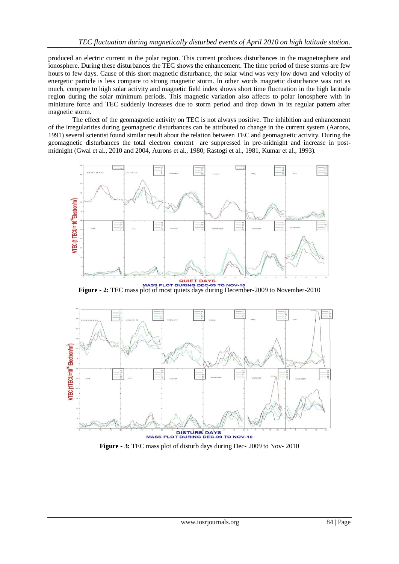produced an electric current in the polar region. This current produces disturbances in the magnetosphere and ionosphere. During these disturbances the TEC shows the enhancement. The time period of these storms are few hours to few days. Cause of this short magnetic disturbance, the solar wind was very low down and velocity of energetic particle is less compare to strong magnetic storm. In other words magnetic disturbance was not as much, compare to high solar activity and magnetic field index shows short time fluctuation in the high latitude region during the solar minimum periods. This magnetic variation also affects to polar ionosphere with in miniature force and TEC suddenly increases due to storm period and drop down in its regular pattern after magnetic storm.

The effect of the geomagnetic activity on TEC is not always positive. The inhibition and enhancement of the irregularities during geomagnetic disturbances can be attributed to change in the current system (Aarons, 1991) several scientist found similar result about the relation between TEC and geomagnetic activity. During the geomagnetic disturbances the total electron content are suppressed in pre-midnight and increase in postmidnight (Gwal et al., 2010 and 2004, Aurons et al., 1980; Rastogi et al., 1981, Kumar et al., 1993).



**Figure - 2:** TEC mass plot of most quiets days during December-2009 to November-2010



**Figure - 3:** TEC mass plot of disturb days during Dec- 2009 to Nov- 2010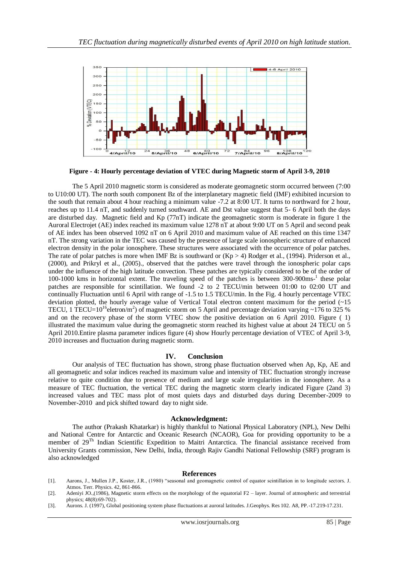

**Figure - 4: Hourly percentage deviation of VTEC during Magnetic storm of April 3-9, 2010**

The 5 April 2010 magnetic storm is considered as moderate geomagnetic storm occurred between (7:00 to U10:00 UT). The north south component Bz of the interplanetary magnetic field (IMF) exhibited incursion to the south that remain about 4 hour reaching a minimum value -7.2 at 8:00 UT. It turns to northward for 2 hour, reaches up to 11.4 nT, and suddenly turned southward. AE and Dst value suggest that 5- 6 April both the days are disturbed day. Magnetic field and Kp (77nT) indicate the geomagnetic storm is moderate in figure 1 the Auroral Electrojet (AE) index reached its maximum value 1278 nT at about 9:00 UT on 5 April and second peak of AE index has been observed 1092 nT on 6 April 2010 and maximum value of AE reached on this time 1347 nT. The strong variation in the TEC was caused by the presence of large scale ionospheric structure of enhanced electron density in the polar ionosphere. These structures were associated with the occurrence of polar patches. The rate of polar patches is more when IMF Bz is southward or  $(Kp > 4)$  Rodger et al., (1994). Priderson et al., (2000), and Prikryl et al., (2005)., observed that the patches were travel through the ionospheric polar caps under the influence of the high latitude convection. These patches are typically considered to be of the order of 100-1000 kms in horizontal extent. The traveling speed of the patches is between 300-900ms-<sup>1</sup> these polar patches are responsible for scintillation. We found -2 to 2 TECU/min between 01:00 to 02:00 UT and continually Fluctuation until 6 April with range of -1.5 to 1.5 TECU/min. In the Fig. 4 hourly percentage VTEC deviation plotted, the hourly average value of Vertical Total electron content maximum for the period (~15 TECU, 1 TECU= $10^{16}$ eletron/m<sup>2</sup>) of magnetic storm on 5 April and percentage deviation varying ~176 to 325 % and on the recovery phase of the storm VTEC show the positive deviation on 6 April 2010. Figure ( 1) illustrated the maximum value during the geomagnetic storm reached its highest value at about 24 TECU on 5 April 2010.Entire plasma parameter indices figure (4) show Hourly percentage deviation of VTEC of April 3-9, 2010 increases and fluctuation during magnetic storm.

## **IV. Conclusion**

Our analysis of TEC fluctuation has shown, strong phase fluctuation observed when Ap, Kp, AE and all geomagnetic and solar indices reached its maximum value and intensity of TEC fluctuation strongly increase relative to quite condition due to presence of medium and large scale irregularities in the ionosphere. As a measure of TEC fluctuation, the vertical TEC during the magnetic storm clearly indicated Figure (2and 3) increased values and TEC mass plot of most quiets days and disturbed days during December-2009 to November-2010 and pick shifted toward day to night side.

#### **Acknowledgment:**

The author (Prakash Khatarkar) is highly thankful to National Physical Laboratory (NPL), New Delhi and National Centre for Antarctic and Oceanic Research (NCAOR), Goa for providing opportunity to be a member of 29Th Indian Scientific Expedition to Maitri Antarctica. The financial assistance received from University Grants commission, New Delhi, India, through Rajiv Gandhi National Fellowship (SRF) program is also acknowledged

## **References**

- [1]. Aarons, J., Mullen J.P., Koster, J.R., (1980) "seasonal and geomagnetic control of equator scintillation in to longitude sectors. J. Atmos. Terr. Physics. 42, 861-866.
- [2]. Adeniyi JO.,(1986), Magnetic storm effects on the morphology of the equatorial F2 layer. Journal of atmospheric and terrestrial physics; 48(8):69-702).
- [3]. Aurons. J. (1997), Global positioning system phase fluctuations at auroral latitudes. J.Geophys. Res 102. A8, PP.-17.219-17.231.